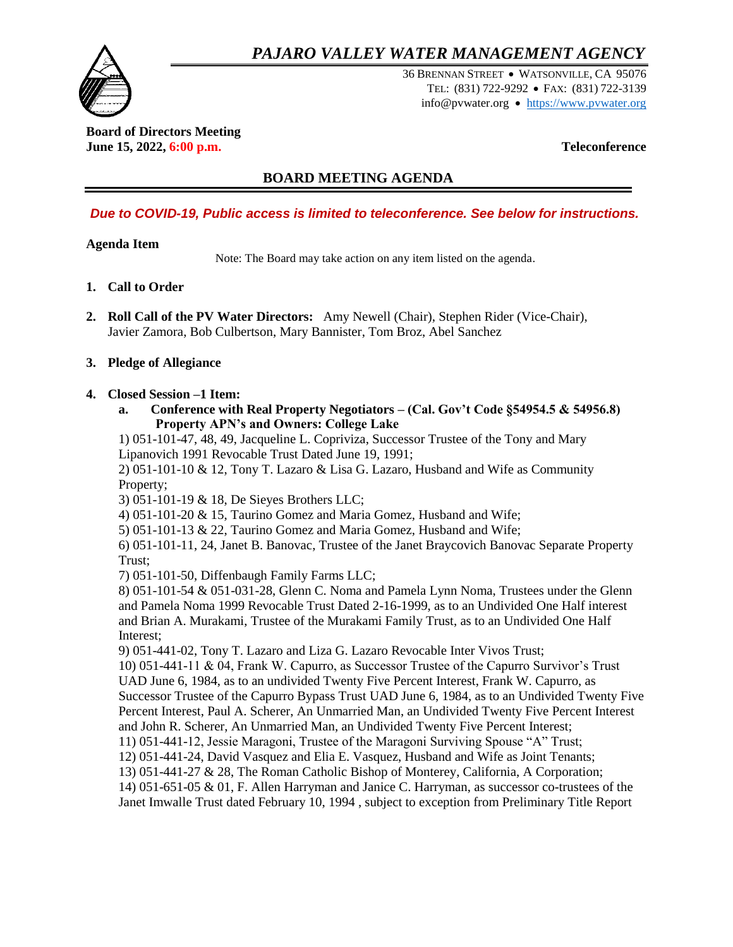# *PAJARO VALLEY WATER MANAGEMENT AGENCY*



36 BRENNAN STREET WATSONVILLE, CA 95076 TEL: (831) 722-9292 FAX: (831) 722-3139 info@pvwater.org • [https://www.pvwater.org](https://www.pvwater.org/)

#### **Board of Directors Meeting June 15, 2022, 6:00 p.m. Teleconference**

## **BOARD MEETING AGENDA**

## *Due to COVID-19, Public access is limited to teleconference. See below for instructions.*

## **Agenda Item**

Note: The Board may take action on any item listed on the agenda.

- **1. Call to Order**
- **2. Roll Call of the PV Water Directors:** Amy Newell (Chair), Stephen Rider (Vice-Chair), Javier Zamora, Bob Culbertson, Mary Bannister, Tom Broz, Abel Sanchez

## **3. Pledge of Allegiance**

#### **4. Closed Session –1 Item:**

**a. Conference with Real Property Negotiators – (Cal. Gov't Code §54954.5 & 54956.8) Property APN's and Owners: College Lake**

1) 051-101-47, 48, 49, Jacqueline L. Copriviza, Successor Trustee of the Tony and Mary Lipanovich 1991 Revocable Trust Dated June 19, 1991;

2) 051-101-10 & 12, Tony T. Lazaro & Lisa G. Lazaro, Husband and Wife as Community Property;

3) 051-101-19 & 18, De Sieyes Brothers LLC;

4) 051-101-20 & 15, Taurino Gomez and Maria Gomez, Husband and Wife;

5) 051-101-13 & 22, Taurino Gomez and Maria Gomez, Husband and Wife;

6) 051-101-11, 24, Janet B. Banovac, Trustee of the Janet Braycovich Banovac Separate Property Trust;

7) 051-101-50, Diffenbaugh Family Farms LLC;

8) 051-101-54 & 051-031-28, Glenn C. Noma and Pamela Lynn Noma, Trustees under the Glenn and Pamela Noma 1999 Revocable Trust Dated 2-16-1999, as to an Undivided One Half interest and Brian A. Murakami, Trustee of the Murakami Family Trust, as to an Undivided One Half Interest;

9) 051-441-02, Tony T. Lazaro and Liza G. Lazaro Revocable Inter Vivos Trust;

10) 051-441-11 & 04, Frank W. Capurro, as Successor Trustee of the Capurro Survivor's Trust UAD June 6, 1984, as to an undivided Twenty Five Percent Interest, Frank W. Capurro, as Successor Trustee of the Capurro Bypass Trust UAD June 6, 1984, as to an Undivided Twenty Five Percent Interest, Paul A. Scherer, An Unmarried Man, an Undivided Twenty Five Percent Interest and John R. Scherer, An Unmarried Man, an Undivided Twenty Five Percent Interest;

11) 051-441-12, Jessie Maragoni, Trustee of the Maragoni Surviving Spouse "A" Trust;

12) 051-441-24, David Vasquez and Elia E. Vasquez, Husband and Wife as Joint Tenants;

13) 051-441-27 & 28, The Roman Catholic Bishop of Monterey, California, A Corporation;

14) 051-651-05 & 01, F. Allen Harryman and Janice C. Harryman, as successor co-trustees of the Janet Imwalle Trust dated February 10, 1994 , subject to exception from Preliminary Title Report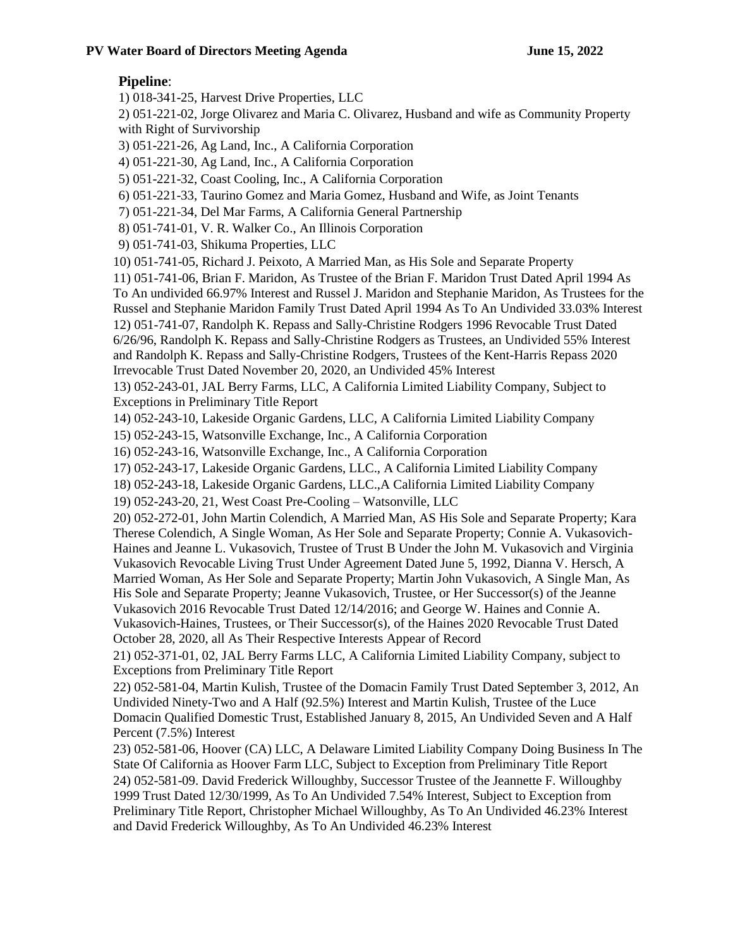## **Pipeline**:

1) 018-341-25, Harvest Drive Properties, LLC

2) 051-221-02, Jorge Olivarez and Maria C. Olivarez, Husband and wife as Community Property with Right of Survivorship

3) 051-221-26, Ag Land, Inc., A California Corporation

4) 051-221-30, Ag Land, Inc., A California Corporation

5) 051-221-32, Coast Cooling, Inc., A California Corporation

6) 051-221-33, Taurino Gomez and Maria Gomez, Husband and Wife, as Joint Tenants

7) 051-221-34, Del Mar Farms, A California General Partnership

8) 051-741-01, V. R. Walker Co., An Illinois Corporation

9) 051-741-03, Shikuma Properties, LLC

10) 051-741-05, Richard J. Peixoto, A Married Man, as His Sole and Separate Property

11) 051-741-06, Brian F. Maridon, As Trustee of the Brian F. Maridon Trust Dated April 1994 As To An undivided 66.97% Interest and Russel J. Maridon and Stephanie Maridon, As Trustees for the Russel and Stephanie Maridon Family Trust Dated April 1994 As To An Undivided 33.03% Interest 12) 051-741-07, Randolph K. Repass and Sally-Christine Rodgers 1996 Revocable Trust Dated 6/26/96, Randolph K. Repass and Sally-Christine Rodgers as Trustees, an Undivided 55% Interest and Randolph K. Repass and Sally-Christine Rodgers, Trustees of the Kent-Harris Repass 2020 Irrevocable Trust Dated November 20, 2020, an Undivided 45% Interest

13) 052-243-01, JAL Berry Farms, LLC, A California Limited Liability Company, Subject to Exceptions in Preliminary Title Report

14) 052-243-10, Lakeside Organic Gardens, LLC, A California Limited Liability Company

15) 052-243-15, Watsonville Exchange, Inc., A California Corporation

16) 052-243-16, Watsonville Exchange, Inc., A California Corporation

17) 052-243-17, Lakeside Organic Gardens, LLC., A California Limited Liability Company

18) 052-243-18, Lakeside Organic Gardens, LLC.,A California Limited Liability Company

19) 052-243-20, 21, West Coast Pre-Cooling – Watsonville, LLC

20) 052-272-01, John Martin Colendich, A Married Man, AS His Sole and Separate Property; Kara Therese Colendich, A Single Woman, As Her Sole and Separate Property; Connie A. Vukasovich-Haines and Jeanne L. Vukasovich, Trustee of Trust B Under the John M. Vukasovich and Virginia Vukasovich Revocable Living Trust Under Agreement Dated June 5, 1992, Dianna V. Hersch, A Married Woman, As Her Sole and Separate Property; Martin John Vukasovich, A Single Man, As His Sole and Separate Property; Jeanne Vukasovich, Trustee, or Her Successor(s) of the Jeanne Vukasovich 2016 Revocable Trust Dated 12/14/2016; and George W. Haines and Connie A. Vukasovich-Haines, Trustees, or Their Successor(s), of the Haines 2020 Revocable Trust Dated October 28, 2020, all As Their Respective Interests Appear of Record

21) 052-371-01, 02, JAL Berry Farms LLC, A California Limited Liability Company, subject to Exceptions from Preliminary Title Report

22) 052-581-04, Martin Kulish, Trustee of the Domacin Family Trust Dated September 3, 2012, An Undivided Ninety-Two and A Half (92.5%) Interest and Martin Kulish, Trustee of the Luce Domacin Qualified Domestic Trust, Established January 8, 2015, An Undivided Seven and A Half Percent (7.5%) Interest

23) 052-581-06, Hoover (CA) LLC, A Delaware Limited Liability Company Doing Business In The State Of California as Hoover Farm LLC, Subject to Exception from Preliminary Title Report 24) 052-581-09. David Frederick Willoughby, Successor Trustee of the Jeannette F. Willoughby 1999 Trust Dated 12/30/1999, As To An Undivided 7.54% Interest, Subject to Exception from Preliminary Title Report, Christopher Michael Willoughby, As To An Undivided 46.23% Interest and David Frederick Willoughby, As To An Undivided 46.23% Interest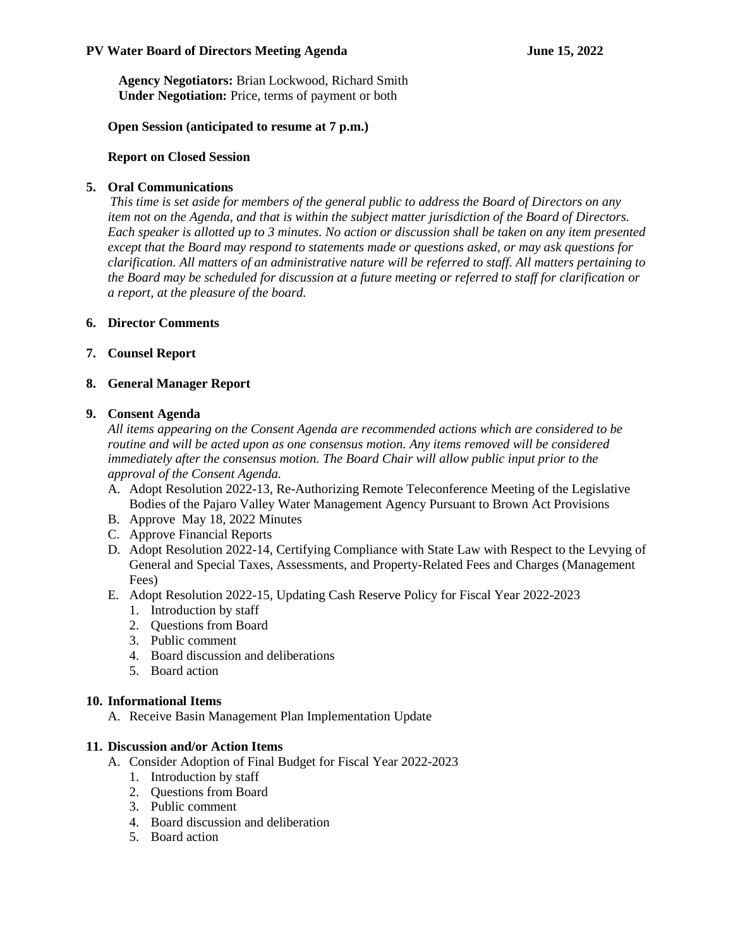#### **PV Water Board of Directors Meeting Agenda June 15, 2022**

**Agency Negotiators:** Brian Lockwood, Richard Smith **Under Negotiation:** Price, terms of payment or both

#### **Open Session (anticipated to resume at 7 p.m.)**

#### **Report on Closed Session**

#### **5. Oral Communications**

 *This time is set aside for members of the general public to address the Board of Directors on any item not on the Agenda, and that is within the subject matter jurisdiction of the Board of Directors. Each speaker is allotted up to 3 minutes. No action or discussion shall be taken on any item presented except that the Board may respond to statements made or questions asked, or may ask questions for clarification. All matters of an administrative nature will be referred to staff. All matters pertaining to the Board may be scheduled for discussion at a future meeting or referred to staff for clarification or a report, at the pleasure of the board.*

#### **6. Director Comments**

**7. Counsel Report**

#### **8. General Manager Report**

#### **9. Consent Agenda**

*All items appearing on the Consent Agenda are recommended actions which are considered to be routine and will be acted upon as one consensus motion. Any items removed will be considered immediately after the consensus motion. The Board Chair will allow public input prior to the approval of the Consent Agenda.* 

- A. Adopt Resolution 2022-13, Re-Authorizing Remote Teleconference Meeting of the Legislative Bodies of the Pajaro Valley Water Management Agency Pursuant to Brown Act Provisions
- B. Approve May 18, 2022 Minutes
- C. Approve Financial Reports
- D. Adopt Resolution 2022-14, Certifying Compliance with State Law with Respect to the Levying of General and Special Taxes, Assessments, and Property-Related Fees and Charges (Management Fees)
- E. Adopt Resolution 2022-15, Updating Cash Reserve Policy for Fiscal Year 2022-2023
	- 1. Introduction by staff
	- 2. Questions from Board
	- 3. Public comment
	- 4. Board discussion and deliberations
	- 5. Board action

#### **10. Informational Items**

A. Receive Basin Management Plan Implementation Update

#### **11. Discussion and/or Action Items**

- A. Consider Adoption of Final Budget for Fiscal Year 2022-2023
	- 1. Introduction by staff
	- 2. Questions from Board
	- 3. Public comment
	- 4. Board discussion and deliberation
	- 5. Board action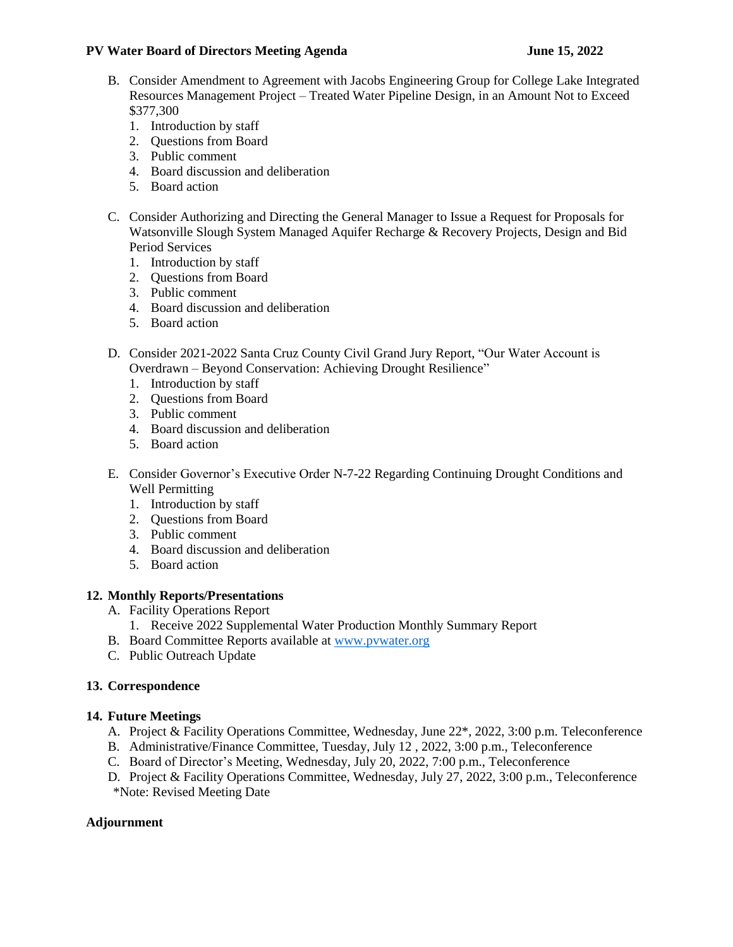#### **PV Water Board of Directors Meeting Agenda June 15, 2022**

- B. Consider Amendment to Agreement with Jacobs Engineering Group for College Lake Integrated Resources Management Project – Treated Water Pipeline Design, in an Amount Not to Exceed \$377,300
	- 1. Introduction by staff
	- 2. Questions from Board
	- 3. Public comment
	- 4. Board discussion and deliberation
	- 5. Board action
- C. Consider Authorizing and Directing the General Manager to Issue a Request for Proposals for Watsonville Slough System Managed Aquifer Recharge & Recovery Projects, Design and Bid Period Services
	- 1. Introduction by staff
	- 2. Questions from Board
	- 3. Public comment
	- 4. Board discussion and deliberation
	- 5. Board action
- D. Consider 2021-2022 Santa Cruz County Civil Grand Jury Report, "Our Water Account is Overdrawn – Beyond Conservation: Achieving Drought Resilience"
	- 1. Introduction by staff
	- 2. Questions from Board
	- 3. Public comment
	- 4. Board discussion and deliberation
	- 5. Board action
- E. Consider Governor's Executive Order N-7-22 Regarding Continuing Drought Conditions and Well Permitting
	- 1. Introduction by staff
	- 2. Questions from Board
	- 3. Public comment
	- 4. Board discussion and deliberation
	- 5. Board action

## **12. Monthly Reports/Presentations**

- A. Facility Operations Report
	- 1. Receive 2022 Supplemental Water Production Monthly Summary Report
- B. Board Committee Reports available at [www.pvwater.org](http://www.pvwater.org/)
- C. Public Outreach Update

## **13. Correspondence**

## **14. Future Meetings**

- A. Project & Facility Operations Committee, Wednesday, June 22\*, 2022, 3:00 p.m. Teleconference
- B. Administrative/Finance Committee, Tuesday, July 12 , 2022, 3:00 p.m., Teleconference
- C. Board of Director's Meeting, Wednesday, July 20, 2022, 7:00 p.m., Teleconference
- D. Project & Facility Operations Committee, Wednesday, July 27, 2022, 3:00 p.m., Teleconference \*Note: Revised Meeting Date

## **Adjournment**